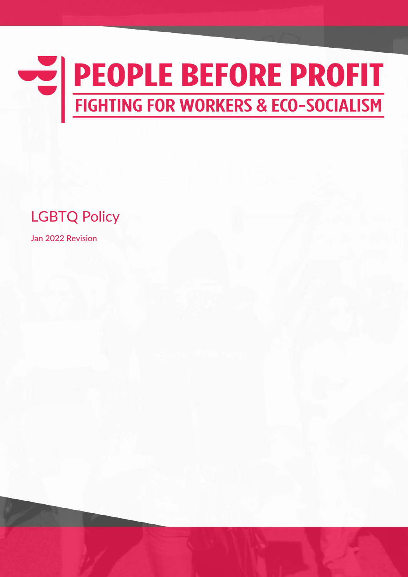

LGBTQ Policy

Jan 2022 Revision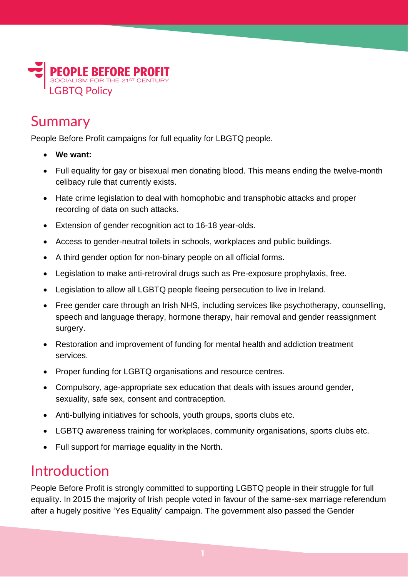

### Summary

People Before Profit campaigns for full equality for LBGTQ people.

- **We want:**
- Full equality for gay or bisexual men donating blood. This means ending the twelve-month celibacy rule that currently exists.
- Hate crime legislation to deal with homophobic and transphobic attacks and proper recording of data on such attacks.
- Extension of gender recognition act to 16-18 year-olds.
- Access to gender-neutral toilets in schools, workplaces and public buildings.
- A third gender option for non-binary people on all official forms.
- Legislation to make anti-retroviral drugs such as Pre-exposure prophylaxis, free.
- Legislation to allow all LGBTQ people fleeing persecution to live in Ireland.
- Free gender care through an Irish NHS, including services like psychotherapy, counselling, speech and language therapy, hormone therapy, hair removal and gender reassignment surgery.
- Restoration and improvement of funding for mental health and addiction treatment services.
- Proper funding for LGBTQ organisations and resource centres.
- Compulsory, age-appropriate sex education that deals with issues around gender, sexuality, safe sex, consent and contraception.
- Anti-bullying initiatives for schools, youth groups, sports clubs etc.
- LGBTQ awareness training for workplaces, community organisations, sports clubs etc.
- Full support for marriage equality in the North.

#### Introduction

People Before Profit is strongly committed to supporting LGBTQ people in their struggle for full equality. In 2015 the majority of Irish people voted in favour of the same-sex marriage referendum after a hugely positive 'Yes Equality' campaign. The government also passed the Gender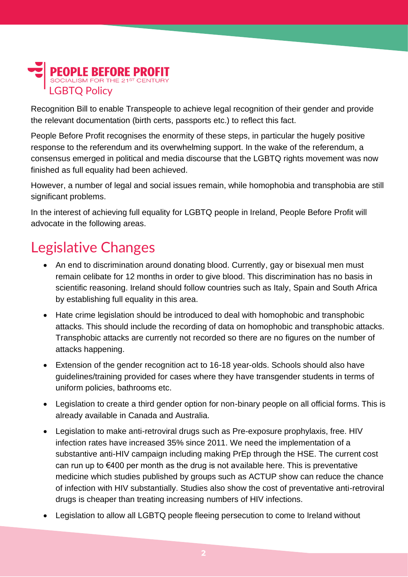# **PEOPLE BEFORE PROFIT** LGBTQ Policy

Recognition Bill to enable Transpeople to achieve legal recognition of their gender and provide the relevant documentation (birth certs, passports etc.) to reflect this fact.

People Before Profit recognises the enormity of these steps, in particular the hugely positive response to the referendum and its overwhelming support. In the wake of the referendum, a consensus emerged in political and media discourse that the LGBTQ rights movement was now finished as full equality had been achieved.

However, a number of legal and social issues remain, while homophobia and transphobia are still significant problems.

In the interest of achieving full equality for LGBTQ people in Ireland, People Before Profit will advocate in the following areas.

## Legislative Changes

- An end to discrimination around donating blood. Currently, gay or bisexual men must remain celibate for 12 months in order to give blood. This discrimination has no basis in scientific reasoning. Ireland should follow countries such as Italy, Spain and South Africa by establishing full equality in this area.
- Hate crime legislation should be introduced to deal with homophobic and transphobic attacks. This should include the recording of data on homophobic and transphobic attacks. Transphobic attacks are currently not recorded so there are no figures on the number of attacks happening.
- Extension of the gender recognition act to 16-18 year-olds. Schools should also have guidelines/training provided for cases where they have transgender students in terms of uniform policies, bathrooms etc.
- Legislation to create a third gender option for non-binary people on all official forms. This is already available in Canada and Australia.
- Legislation to make anti-retroviral drugs such as Pre-exposure prophylaxis, free. HIV infection rates have increased 35% since 2011. We need the implementation of a substantive anti-HIV campaign including making PrEp through the HSE. The current cost can run up to €400 per month as the drug is not available here. This is preventative medicine which studies published by groups such as ACTUP show can reduce the chance of infection with HIV substantially. Studies also show the cost of preventative anti-retroviral drugs is cheaper than treating increasing numbers of HIV infections.
- Legislation to allow all LGBTQ people fleeing persecution to come to Ireland without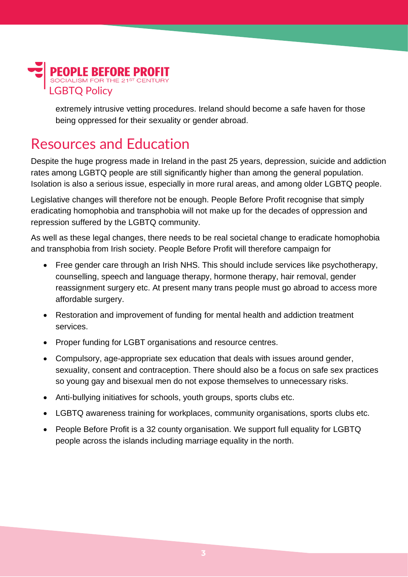

extremely intrusive vetting procedures. Ireland should become a safe haven for those being oppressed for their sexuality or gender abroad.

### Resources and Education

Despite the huge progress made in Ireland in the past 25 years, depression, suicide and addiction rates among LGBTQ people are still significantly higher than among the general population. Isolation is also a serious issue, especially in more rural areas, and among older LGBTQ people.

Legislative changes will therefore not be enough. People Before Profit recognise that simply eradicating homophobia and transphobia will not make up for the decades of oppression and repression suffered by the LGBTQ community.

As well as these legal changes, there needs to be real societal change to eradicate homophobia and transphobia from Irish society. People Before Profit will therefore campaign for

- Free gender care through an Irish NHS. This should include services like psychotherapy, counselling, speech and language therapy, hormone therapy, hair removal, gender reassignment surgery etc. At present many trans people must go abroad to access more affordable surgery.
- Restoration and improvement of funding for mental health and addiction treatment services.
- Proper funding for LGBT organisations and resource centres.
- Compulsory, age-appropriate sex education that deals with issues around gender, sexuality, consent and contraception. There should also be a focus on safe sex practices so young gay and bisexual men do not expose themselves to unnecessary risks.
- Anti-bullying initiatives for schools, youth groups, sports clubs etc.
- LGBTQ awareness training for workplaces, community organisations, sports clubs etc.
- People Before Profit is a 32 county organisation. We support full equality for LGBTQ people across the islands including marriage equality in the north.